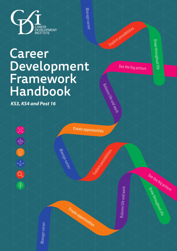

# Career Development Framework Handbook

*KS3, KS4 and Post 16*

 $\odot$ 

640

 $\left(\begin{matrix} \mathbf{Q} \end{matrix}\right)$ 

 $\sqrt{3}$ 

O

Manage career



Balance life and work

Grow throughout life Grow throughout life

Grow throughout life

See the big picture

Create opportunities

Manage career

Manage career

Create opportunities

Etiope possibilities

Manage career

**Balance life and work** Balance life and work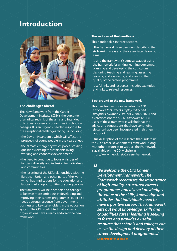## **Introduction**



#### **The challenges ahead**

This new framework from the Career Development Institute (CDI) is the outcome of a radical rethink of the aims and intended outcomes of careers programmes in schools and colleges. It is an urgently needed response to the exceptional challenges facing us including:

- the Covid-19 pandemic which will affect the prospects of young people in the years ahead
- the climate emergency which poses pressing questions relating to sustainable living, working and economic development
- the need to continue to focus on issues of fairness, diversity and inclusion for individuals and communities
- the resetting of the UK's relationships with the European Union and other parts of the world which has implications for the education and labour market opportunities of young people.

The framework will help schools and colleges to be even more ambitious in developing and improving their careers programmes; but it also needs a strong response from government, business and key stakeholders in the education system. The CDI is delighted that so many organisations have already endorsed the new framework.

#### **The sections of the handbook**

This handbook is in three sections:

- 'The Framework' is an overview describing the six learning areas and their associated learning aims
- 'Using the framework' suggests ways of using the framework for writing learning outcomes, planning and developing the curriculum, designing teaching and learning, assessing learning and evaluating and assuring the quality of the careers programme
- 'Useful links and resources' includes examples and links to related resources.

#### **Background to the new framework**

This new framework supersedes the *CDI Framework for Careers, Employability and Enterprise Education 7-19* (2015, 2018, 2020) and its predecessor the *ACEG Framework* (2013). Users of these frameworks will find that the advice and suggestions that have continuing relevance have been incorporated in this new handbook.

A full description of the research that underpins the CDI Career Development Framework, along with other resources to support the Framework is available on the CDI website at https://www.thecdi.net/Careers-Framework.

**"**

*We welcome the CDI's Career Development Framework. The Framework recognises the importance of high-quality, structured careers programmes and also acknowledges the value of the skills, knowledge and attitudes that individuals need to have a positive career. The Framework sets out what knowledge, skills and capabilities career learning is seeking to foster and provides a useful resource that schools and colleges can use in the design and delivery of their career development programmes."*

**Department for Education**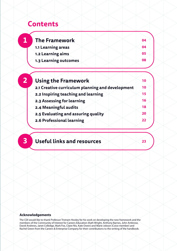## **Contents**



## **3 Useful links and resources <sup>23</sup>**

#### **Acknowledgements**

The CDI would like to thank Professor Tristram Hooley for his work on developing the new framework and the members of the Community of Interest for Careers Education (Kath Wright, Anthony Barnes, John Ambrose, David Andrews, Janet Colledge, Mark Fox, Claire Nix, Kate Owen) and Marie Jobson (Coice member) and Rachel Green from the Careers & Enterprise Company for their contributions to the writing of the handbook.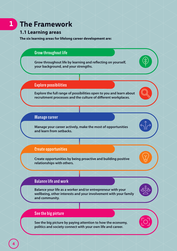# **1 The Framework**

### **1.1 Learning areas**

**The six learning areas for lifelong career development are:**

### Grow throughout life

**Grow throughout life by learning and reflecting on yourself, your background, and your strengths.**

### Explore possibilities

**Explore the full range of possibilities open to you and learn about**  recruitment processes and the culture of different workplaces.

#### Manage career

**Manage your career actively, make the most of opportunities and learn from setbacks.**

#### Create opportunities

**Create opportunities by being proactive and building positive relationships with others.**

### Balance life and work

**Balance your life as a worker and/or entrepreneur with your wellbeing, other interests and your involvement with your family and community.**



### See the big picture

**See the big picture by paying attention to how the economy, politics and society connect with your own life and career.**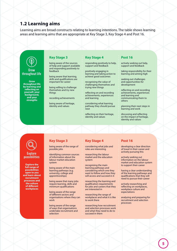## **1.2 Learning aims**

Learning aims are broad constructs relating to learning intentions. The table shows learning areas and learning aims that are appropriate at Key Stage 3, Key Stage 4 and Post 16.



**Grow throughout life by learning and reflecting on yourself, your background, and your strengths**

#### **Key Stage 3**

being aware of the sources of help and support available and responding positively to feedback

being aware that learning, skills and qualifications are important for career

being willing to challenge themselves and try new things

recording achievements

being aware of heritage, identity and values

#### **Key Stage 4**

responding positively to help, support and feedback

positively engaging in learning and taking action to achieve good outcomes

recognising the value of challenging themselves and trying new things

reflecting on and recording achievements, experiences and learning

considering what learning pathway they should pursue next

reflecting on their heritage, identity and values

#### **Post 16**

actively seeking out help, support and feedback

taking responsibility for their learning and aiming high

seeking out challenges and opportunities for development

reflecting on and recording achievements, experiences and learning and communicating them to others

planning their next steps in learning and work

discussing and reflecting on the impact of heritage, identity and values



#### **Explore** possibilities

**Explore the full range of possibilities open to you and learn about recruitment processes and the culture of different workplaces**

#### **Key Stage 3**

being aware of the range of possible jobs

identifying common sources of information about the labour market education system

being aware of the main learning pathways (e.g. university, college and apprenticeships)

being aware that many jobs require learning, skills and minimum qualifications

being aware of the range of different sectors and organisations where they can work

being aware of the range of ways that organisations undertake recruitment and selection

#### **Key Stage 4**

considering what jobs and roles are interesting

researching the labour market and the education system

recognising the main learning pathways and considering which one they want to follow and how they will access and succeed in it

researching the learning and qualification requirements for jobs and careers that they are interested in

researching the range of workplaces and what it is like to work there

researching how recruitment and selection processes work and what they need to do to succeed in them

#### **Post 16**

developing a clear direction of travel in their career and actively pursuing this

actively seeking out information on the labour market and education system to support their career

having a clear understanding of the learning pathways and qualifications that they will need to pursue their career

actively researching and reflecting on workplaces, workplace culture and expectations

analysing and preparing for recruitment and selection processes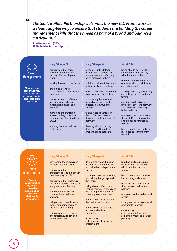*The Skills Builder Partnership welcomes the new CDI Framework as a clear, tangible way to ensure that students are building the career management skills that they need as part of a broad and balanced curriculum. "*

**Tom Ravenscroft (CEO), Skills Builder Partnership**



**"**

Manage career

**Manage your career actively, make the most of opportunities and learn from setbacks**

#### **Key Stage 3**

being aware that career describes their journey through life, learning and work

looking forward to the future

imagining a range of possibilities for themselves in their career

being aware that different jobs and careers bring different challenges and rewards

managing the transition into secondary school and preparing for choosing their GCSEs

learning from setbacks and challenges

#### **Key Stage 4**

recognising the different ways in which people talk about career and reflecting on its meaning to them

building their confidence and optimism about their future

making plans and developing a pathway into their future

considering the risks and rewards associated with different pathways and careers

taking steps to achieve in their GCSEs and make a decision about their post-16 pathway

thinking about how they deal with and learn from challenges and setbacks

#### **Post 16**

being able to describe the concept of career and say what it means to them

building their confidence and optimism about their future and acting on it

actively planning, prioritising and setting targets for their future

considering the risks and rewards of different pathways and career and deciding between them

managing the transition into the post-16 learning context and preparing for post-18 transitions

being proactive about being resilient and learning from setbacks



#### Create opportunities

**Create opportunities by being proactive and building positive relationships with others**

### **Key Stage 3**

developing friendships and relationships with others

being aware that it is important to take initiative in their learning and life

being aware that building a career will require them to be imaginative and flexible

developing the ability to communicate their needs and wants

being able to identify a role model and being aware of the value of leadership

being aware of the concept of entrepreneurialism and self-employment

### **Key Stage 4**

developing friendships and relationships and reflecting on their relationship to their career

starting to take responsibility for making things happen in their career

being able to reflect on and change their career ideas and the strategies that they are pursuing to achieve them

being willing to speak up for themselves and others

being able to discuss roles models and reflect on leadership

researching entrepreneurialism and selfemployment

#### **Post 16**

building and maintaining relationships and networks within and beyond the school

being proactive about their life, learning and career

being creative and agile as they develop their career pathway

representing themselves and others

acting as a leader, role model or example to others

considering entrepreneurialism and self-employment as a career pathway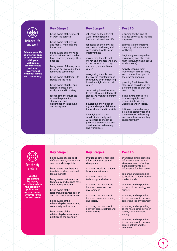

#### Balance life and work

**Balance your life as a worker and/ or entrepreneur with your wellbeing, other interests and your involvement with your family and community**

#### **Key Stage 3**

being aware of the concept of work-life balance

being aware that physical and mental wellbeing are important

being aware of money and that individuals and families have to actively manage their finances

being aware of the ways that they can be involved in their family and community

being aware of different life stages and life roles

being aware of rights and responsibilities in the workplace and in society

recognising the injustices caused by prejudice, stereotypes and discrimination in learning and workplaces

#### **Key Stage 4**

reflecting on the different ways in which people balance their work and life

reflecting on their physical and mental wellbeing and considering how they can improve these

recognising the role that money and finances will play, in the decisions that they make and, in their life and career

recognising the role that they play in their family and community and considering how that might shape their career

considering how they want to move through different life stages and manage different life roles

developing knowledge of rights and responsibilities in the workplace and in society

identifying what they can do, individually and with others, to challenge prejudice, stereotyping and discrimination in learning and workplaces

#### **Post 16**

planning for the kind of balance of work and life that they want

taking action to improve their physical and mental wellbeing

beginning to manage their own money and plan their finances (e.g. thinking about student loans)

actively shaping their involvement in their family and community as part of their career planning

planning for different life stages and considering the different life roles that they want to play

being aware of their role in ensuring rights and responsibilities in the workplace and in society

taking action to challenge prejudice, stereotypes and discrimination in learning and workplaces when they encounter them



#### See the big picture

**See the big picture by paying attention to how the economy, politics and society connect with your own life and career**

#### **Key Stage 3**

being aware of a range of different media, information sources and viewpoints

being aware that there are trends in local and national labour markets

being aware that trends in technology and science have implications for career

being aware of the relationship between career and the natural environment

being aware of the relationship between career, community and society

being aware of the relationship between career, politics and the economy

#### **Key Stage 4**

evaluating different media, information sources and viewpoints

exploring local and national labour market trends

exploring trends in technology and science

exploring the relationship between career and the environment

exploring the relationship between career, community and society

exploring the relationship between career, politics and the economy

#### **Post 16**

evaluating different media, information sources and viewpoints and reflecting on the best way to get information for their career

exploring and responding to local and national labour market trends

exploring and responding to trends in technology and science

exploring and responding to the relationship between career and the environment

exploring and responding to the relationship between career, community and society

exploring and responding to the relationship between career, politics and the economy

**7**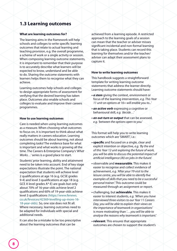## **1.3 Learning outcomes**

#### **What are learning outcomes for?**

The learning aims in the framework will help schools and colleges to write specific learning outcomes that relate to actual learning and teaching provision, e.g. the overall programme, a scheme of work or a single activity or session. When composing learning outcome statements, it is important to remember that their purpose is to accurately describe what learners will be expected to know, understand and be able to do. Sharing the outcome statements with learners helps them to recognise what they can achieve.

Learning outcomes help schools and colleges to design appropriate forms of assessment for verifying that the desired learning has taken place. Outcomes also enable schools and colleges to evaluate and improve their careers programmes.

#### **How to use learning outcomes**

Care is needed when using learning outcomes as a measure. When choosing what outcomes to focus on, it is important to think about what really matters in careers education. Learning outcomes should be about learning, not about completing tasks! The evidence base for what is important and what works is growing all the time. The Careers & Enterprise Company's '*What Works…'* series is a good place to start.

Students' prior learning, ability and attainment need to be taken into account. End of key stage expectations illustrate the point. The national expectation that students will achieve level 2 qualifications at age 16 (e.g. GCSE grades 9-4) and level 3 qualifications at age 18 (e.g. GCE A level grades A\*-E) are goals but only about 70% of 16-year-olds achieve level 2 qualifications and 60% of 19-year-olds achieve level 3 qualifications (https://www.fenews. co.uk/fevoices/42369-levelling-up-more-16- 18-year-olds). So, one size does not fit all. Where necessary, learning outcomes need to be adapted for individuals with special and additional needs.

It can also be a mistake to be too prescriptive about the learning outcomes that can be

achieved from a learning episode. A restricted approach to the learning goals of a session can mean that the teacher or adviser misses significant incidental and non-formal learning that is taking place. Students can record this learning for themselves and/or the teacher/ adviser can adapt their assessment plans to capture it.

#### **How to write learning outcomes**

This handbook suggests a straightforward template for writing learning outcome statements that address the learner directly. Learning outcome statements should have:

- *a stem* giving the context, environment or focus of the learning intervention, *e.g. This Year 11 unit on options at 16+ will enable you to...'*
- *an active verb* expressing a cognitive or behavioural skill, *e.g. 'decide…'*
- *an out-turn or output* that can be assessed, *e.g. 'between the options open to you.'*

This format will help you to write learning outcomes which are 'SMART', i.e.:

- **specific** and focused on a single, clear and explicit intention or objective, *e.g. 'By the end of this Year 12 unit exploring the future of work, you will be able to discuss the potential impact of artificial intelligence (AI) on jobs in the future'.*
- observable and **measurable**. This makes it easier to recognise and collect evidence of achievement, *e.g. 'After your Y9 visit to the leisure centre, you will be able to identify five examples of skills that you need to be a successful personal trainer'.* This outcome could be measured through an assignment or report.
- challenging, but **achievable**. This makes it easier to interest students, *e.g. 'When you have interviewed three visitors to our Year 11 Careers Day, you will be able to explain their views on the importance of teamwork in organisations'*  is more motivating than *'….you will be able to analyse the reasons why teamwork is important.'*
- **relevant**. This ensures that appropriate outcomes are chosen to support the student's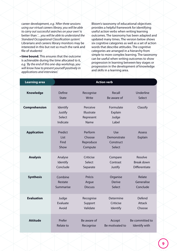career development, *e.g. 'After three sessions using our virtual careers library, you will be able to carry out successful searches on your own'* is better than *'…you will be able to understand the Standard Occupational Classifi cation system'.*  Librarians and careers library monitors may be interested in this but not so much the rank and file of students!

**• time bound.** This ensures that the outcome is achievable during the time allocated to it, *e.g. 'By the end of this one-day workshop, you will know how to present yourself positively in applications and interviews'.*

Bloom's taxonomy of educational objectives provides a helpful framework for identifying useful action verbs when writing learning outcomes. The taxonomy has been adapted and updated many times. The version below shows six cognitive categories as well as a set of action words that describe attitudes. The cognitive categories are arranged in a hierarchy from simple to more complex learning. The taxonomy can be useful when writing outcomes to show progression in learning between key stages or progression in the development of knowledge and skills in a learning area.

| <b>Learning area</b> |                                           |                                                           | <b>Action verb</b>                        |                          |
|----------------------|-------------------------------------------|-----------------------------------------------------------|-------------------------------------------|--------------------------|
| <b>Knowledge</b>     | Define                                    | Recognise                                                 | Recall                                    | Underline                |
|                      | <b>State</b>                              | Write                                                     | Be aware of                               | Select                   |
| Comprehension        | Identify<br>Justify<br>Select<br>Indicate | Perceive<br><b>Illustrate</b><br>Represent<br><b>Name</b> | Formulate<br>Explain<br>Judge<br>Label    | Classify                 |
| <b>Application</b>   | Predict<br>List<br>Find<br>Show           | Perform<br>Choose<br>Reproduce<br>Compute                 | Use<br>Demonstrate<br>Construct<br>Select | <b>Assess</b><br>Explain |
| <b>Analysis</b>      | Analyse                                   | Criticise                                                 | Compare                                   | Resolve                  |
|                      | Identify                                  | Select                                                    | Contrast                                  | <b>Break down</b>        |
|                      | Conclude                                  | Separate                                                  | Justify                                   | Differentiate            |
| <b>Synthesis</b>     | Combine                                   | Précis                                                    | Organise                                  | Relate                   |
|                      | Restate                                   | Argue                                                     | <b>Derive</b>                             | Generalise               |
|                      | Summarise                                 | <b>Discuss</b>                                            | Select                                    | Conclude                 |
| <b>Evaluation</b>    | Judge                                     | Recognise                                                 | Determine                                 | Defend                   |
|                      | Evaluate                                  | Support                                                   | Criticise                                 | <b>Attack</b>            |
|                      | Avoid                                     | Validate                                                  | Identify                                  | Choose                   |
| <b>Attitude</b>      | Prefer                                    | Be aware of                                               | Accept                                    | Be committed to          |
|                      | <b>Relate to</b>                          | Recognise                                                 | Be motivated to                           | Identify with            |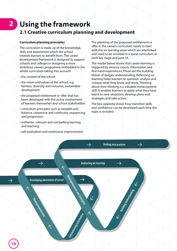## **2 Using the framework 2.1 Creative curriculum planning and development**

#### **Curriculum planning principles**

The curriculum is made up of the knowledge, skills and experiences which the school intends learners to benefit from. The career development framework is designed to support schools and colleges in designing a more ambitious careers programme embedded in the whole curriculum taking into account:

- the context of the school
- the vision and values of the school, e.g. fairness, diversity and inclusion; sustainable development
- the proposed entitlement or offer that has been developed with the active involvement of learners themselves and school stakeholders
- curriculum principles such as breadth and balance, coherence and continuity, sequencing and progression
- authentic, relevant and compelling learning and teaching
- self-evaluation and continuous improvement.

The planning of the proposed entitlement or offer in the careers curriculum needs to start with the six learning areas which are interlinked and need to be revisited in a spiral curriculum at each key stage and post 16.

The model below shows that career learning is triggered by sensory inputs, information and first-hand experiences. These are the building blocks of deeper understanding. Reflecting on learning helps learners to question, analyse and critique what they know and think. Thinking about their thinking is a valuable metacognitive skill. It enables learners to apply what they have learnt to new situations, develop plans and strategies and take action.

The box opposite shows how transition skills and confidence can be developed each time the topic is revisited.

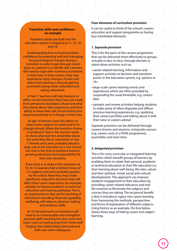#### **Transition skills and confidence – an example**

Transition points are built into the education system in England at 11, 14, 16 and 18.

Understanding how to build transition confidence by preparing well and managing the psychological changes during a transition in order to get through it and grow as a person is a vital life skill. Learners will need to cope with numerous transitions in their lives. In their careers, they may experience many changes of roles and status from starting a new job, getting promoted, being made redundant and taking retirement.

In Year 7, teachers will help learners to reflect on the transition they have just made from primary to secondary school and what they learnt about their experience and their ability to leave their old school behind and respond positively to a change in their lives.

At age 14 learners have the option to select some subjects to study and/or to change schools. When the transition theme is revisited in Year 9, the teacher needs to check what learners remember about the work they did on transitions in Year 7. Parents and carers probably played a large role in the transition to a new school, but now is the time to reinforce learners' growing autonomy and responsibility for their own decisions.

Even more is at stake in the transition at 16. At 14, learners had a limited choice of 2-3 subjects and were probably guided by the school. Now they must make significant, long-term decisions that will affect their career trajectories, for example, whether to choose academic or technical education and training pathways. This is an opportunity to step up the teaching of information-handling, financial capability, wellbeing, self-reliance, decision-making and resilience skills.

At 18, focused work on transitions will need to re-contextualise and strengthen previous skills teaching but also cover new topics such as moving away from home and forging new relationships (personal and with new work colleagues).

#### **Four elements of curriculum provision**

It can be useful to think of the school's careers education and support programme as having four interlinked elements:

#### *1. Separate provision*

This is for the parts of the careers programme that can be delivered more effectively to groups, virtually or face-to-face, through discrete or stand-alone activities such as:

- career-related learning, information and support activities at decision and transition points in the education system, e.g. options at 16+
- large-scale career learning events and experiences which are often provided by suspending the usual timetable, e.g. careers days
- synoptic and review activities helping students to make sense of often disparate and diffuse previous learning experiences, e.g. updating their careers portfolio and talking about it with their tutor or careers adviser

Separate provision can be delivered through careers lessons and sessions, composite courses (e.g. careers units in a PSHE programme), assemblies and tutor time.

#### *2. Integrated provision*

This is for cross-curricular or integrated learning activities which benefit groups of learners by enabling them to relate their general, academic or technical education to their life education (i.e. their learning about well-being, life roles, values and their spiritual, moral, social and cultural development). This approach can improve students' engagement in their education by providing career-related relevance and reallife contexts to illuminate the subjects and courses they are taking. The reciprocal benefit is that it introduces rigour into career learning from harnessing the methods, perspectives and forms of explanation of different subjects. Using history as an example, the box below shows three ways of linking career and subject learning.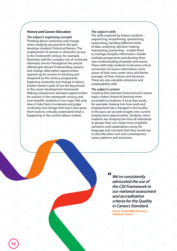#### **History and Careers Education**

*The subject's organising concepts* Thinking about continuity and change when studying any period in the past develops students' historical literacy. The employment of women in domestic service in the nineteenth century, for example, illustrates well the complex mix of continuity (domestic service throughout the period offered girls decent if demanding careers) and change (alternative opportunities opened up for women in teaching and shopwork as the century progressed). Exploring continuity and change in labour market trends is part of 'see the big picture' in the career development framework. Making comparisons between opportunities for women in the nineteenth century and now benefits students in two ways. Not only does it help them to evaluate and judge continuity and change then but it also gives them tools to critically understand what is happening in the current labour market.

#### *The subject's skills*

The skills acquired by history students – sequencing, empathising, questioning, researching, handling different kinds of data, analysing, decision-making, interpreting, presenting – enable them to manage complex information, handle multiple perspectives and develop their own understanding of people and events. These skills help students to become critical consumers of careers information, more aware of their own career story and better manager of their choices and decisions. These are also valuable enterprise and employability skills.

#### *The subject's content*

Creating links between historical and careers topics makes historical learning more accessible to students. A local area study, for example, looking into how work and employment have changed in the locality in the past can provide insights into current employment opportunities. Similarly, when students are studying the lives of individuals or groups they can create more insightful narratives and explanations using the language and concepts that they would use to describe their own and contemporary career patterns and structures.

> **"** *We've consistently advocated the use of the CDI Framework in our national assessment and accreditation criteria for the Quality in Careers Standard."* **Paul A. Chubb MBE (Director), Quality in Careers**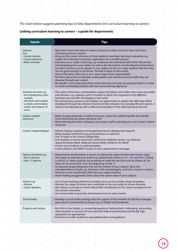The chart below suggests planning tips to help departments link curriculum learning to careers:

|  |  |  | Linking curriculum learning to careers - a guide for departments |  |
|--|--|--|------------------------------------------------------------------|--|
|  |  |  |                                                                  |  |

| <b>Inputs</b>                                                                                                                                   | <b>Tips</b>                                                                                                                                                                                                                                                                                                                                                                                                                                                                                                                                                                                                                                                                                                                                                                                                                                                                                                                                                                                                                |
|-------------------------------------------------------------------------------------------------------------------------------------------------|----------------------------------------------------------------------------------------------------------------------------------------------------------------------------------------------------------------------------------------------------------------------------------------------------------------------------------------------------------------------------------------------------------------------------------------------------------------------------------------------------------------------------------------------------------------------------------------------------------------------------------------------------------------------------------------------------------------------------------------------------------------------------------------------------------------------------------------------------------------------------------------------------------------------------------------------------------------------------------------------------------------------------|
| Lessons<br>e.g.:<br>• Lesson starters<br>• Lesson plenaries<br>• Main activities                                                                | • Spot news items that relate to careers using your subject and turn them into short,<br>motivational lesson starters<br>• Bring out the career relevance of what students have been learning in plenaries, e.g.<br>explain the industrial or business application of a scientific process<br>• Humanise your subject teaching, e.g. emphasise the individuals behind the discoveries<br>and development in your subject as well as the discoveries and development themselves;<br>but don't just focus on the 'greats' in your subject as this can make students feel that they<br>are not good enough to go further. Provide a range of role models<br>• Share information about your own career experiences appropriately<br>· Tell them about the transferable, employability and industry/technical skills they can<br>develop through your subject<br>• Be specific in your planning where career learning outcomes are going to feature in order<br>to avoid overloading students with too many learning objectives |
| Schemes of work e.g.:<br>• the introductory unit/<br>module<br>• the final unit/module<br>• a whole unit/module<br>within the scheme of<br>work | · The careers dimension contextualises subject disciplines and makes them more accessible<br>and relevant, e.g. creating a unit or module to show how engineers in the different<br>branches use scientific knowledge in their work<br>• The introductory session/unit/module is an opportunity to explain the skills that will be<br>developed through the scheme of work and their relevance to everyday life and careers. It<br>needs to be followed up with a reflection/evaluation of the skills learned at the end                                                                                                                                                                                                                                                                                                                                                                                                                                                                                                   |
| Careers-related<br>resources                                                                                                                    | • Before buying textbooks or online resources, review the publishing field and identify<br>those that bring out career relevance well<br>• Work with departmental colleagues and careers staff to develop your own careers-related<br>resources                                                                                                                                                                                                                                                                                                                                                                                                                                                                                                                                                                                                                                                                                                                                                                            |
| Careers-related displays                                                                                                                        | • Refresh displays regularly (unchanged permanent displays lose impact!)<br>• Make displays interactive (e.g. pose questions as captions)<br>• Use TV loops in the school/college foyer<br>• Link displays to annual awareness events that celebrate careers, e.g. National<br>Apprenticeships Week, National Careers Week, Children's Art Week<br>• Involve your students in creating displays<br>• Create playlists and SWAYS to post on your department's web page                                                                                                                                                                                                                                                                                                                                                                                                                                                                                                                                                      |
| Options booklets e.g.:<br>• Year 9 options<br>· Year 11 options                                                                                 | • Departments should deliver a session on taking the subject further and careers using<br>the subject at each decision point (e.g. options and choices at 13+, 16+ and 18+). Timing<br>is critical, i.e. when students are preparing to make the decision such as choices at 16+<br>either at the end of Year 10 or the beginning of Year 11<br>• Go beyond simply listing jobs that use the content of your subject. Show the<br>interdependence of jobs, e.g. historians with archaeologists, archivists, museum curators.<br>Home in on the transferable skills that your subject teaches<br>• Avoid making exaggerated claims about the career value of your subject!                                                                                                                                                                                                                                                                                                                                                  |
| Visitors e.g.:<br>• Alumni<br>• Guest speakers                                                                                                  | • Use virtual meetings platforms to enable you to access a wider range of speakers<br>• Monitor the range of visitors who contribute to the curriculum to ensure diversity<br>• Ask visitors to provide an article about their contribution to the careers programme for<br>the school's newsletter<br>• Use social media to promote and extend access to visitor events                                                                                                                                                                                                                                                                                                                                                                                                                                                                                                                                                                                                                                                   |
| Social media                                                                                                                                    | • Develop a social media strategy with the support of the member of staff who manages<br>your school's social media accounts (e.g. on Twitter and Facebook)                                                                                                                                                                                                                                                                                                                                                                                                                                                                                                                                                                                                                                                                                                                                                                                                                                                                |
| Progress and review                                                                                                                             | · Be a first-in-line helper, i.e. answering questions, feeding back, challenging, advocating,<br>referring them to sources of more specialist help and promoting realistically high<br>aspirations (as appropriate)<br>• Know how to refer students to specialised advice and guidance                                                                                                                                                                                                                                                                                                                                                                                                                                                                                                                                                                                                                                                                                                                                     |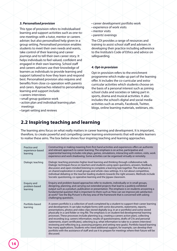#### *3. Personalised provision*

This type of provision refers to individualised learning and support activities such as one-toone meetings with a tutor, mentor or careers adviser; but also personalised help given in a group setting. Personalised provision enables students to meet their own needs and wants, take control of their learning and career journeys and to tell their own career story. It helps individuals to feel valued, confident and engaged in their own learning. School staff and careers advisers use their knowledge of learners as individuals to provide learning and support tailored to how they learn and respond best. Personalised provision also requires and benefits from close co-operation with parents and carers. Approaches related to personalising learning and support include:

- careers interviews
- small group guidance work
- action plan and individual learning plan meetings
- target-setting and reviews
- career development portfolio work
- experience of work visits
- mentor visits
- parents' evenings

The CDI provides a range of resources and training to assist school staff and advisers in developing their practice including adherence to the Institute's Code of Ethics and advice on safeguarding.

#### *4. Opt-in provision*

Opt-in provision refers to the enrichment programme which make up part of the learning offer. It includes the co-curricular and extracurricular activities which students choose on the basis of a personal interest such as joining school clubs and societies or taking part in sports, drama and musical activities. It also includes the school's digital and social media activities such as emails, Facebook, Twitter, blogs, online learning materials, webinars, etc.

## **2.2 Inspiring teaching and learning**

The learning aims focus on what really matters in career learning and development. It is important, therefore, to create powerful and compelling career learning environments that will enable learners to realise these aims. The box below shows four inspiring teaching and learning approaches.

| Practice and<br>experience-based<br>learning    | Constructing or making meaning from first-hand activities and experiences offers an authentic<br>and relevant approach to career learning. The emphasis is on active, participative and<br>experiential learning includes role plays, games, simulations, interacting with visitors, visits, work<br>experience and work shadowing. Some activities can be organised virtually or remotely.                                                                                                                                                                                                                                                                                                                                                                                                                                                                                                                                                                                                                                          |
|-------------------------------------------------|--------------------------------------------------------------------------------------------------------------------------------------------------------------------------------------------------------------------------------------------------------------------------------------------------------------------------------------------------------------------------------------------------------------------------------------------------------------------------------------------------------------------------------------------------------------------------------------------------------------------------------------------------------------------------------------------------------------------------------------------------------------------------------------------------------------------------------------------------------------------------------------------------------------------------------------------------------------------------------------------------------------------------------------|
| Dialogic teaching                               | Dialogic teaching promotes higher-level learning and thinking through collaborative talk.<br>Dialogic techniques focus on teachers and students using open questions, answers, feedback,<br>discussion and open-minded listening to complete a learning task together. The emphasis is<br>on shared exploration in small groups and whole-class settings. It is not about competitive,<br>individual debating or the teacher leading students towards the right answers. Methods include<br>Socratic questioning, co-operative learning and the jigsaw classroom.                                                                                                                                                                                                                                                                                                                                                                                                                                                                    |
| <b>Enquiry and</b><br>problem-based<br>learning | Enquiry and problem-based approaches refer to students, individually or in small groups,<br>designing, planning, and carrying out extended projects that lead to a publicly exhibited<br>output such as a product, publication or presentation. The emphasis is on students answering a<br>fundamental question that is important to them such as 'How can we improve job satisfaction<br>at work?"See the Big Picture' is the key area of the framework that is concerned with asking<br>challenging questions.                                                                                                                                                                                                                                                                                                                                                                                                                                                                                                                     |
| Portfolio-based<br>learning                     | A careers portfolio is a collection of work completed by a student to support their career learning<br>and development. It can take multiple forms with some documents, statements, reports,<br>presentations, photos and video clips stored digitally (e.g. in an e-portfolio) and some stored<br>physically in a card folder or ring file. The emphasis is on student-led developmental learning<br>processes. These processes include planning (e.g. creating a careers action plan), collecting<br>and recording (e.g. careers information, results of questionnaires, drafts of CVs and personal<br>statements, exam certificates), selecting (e.g. what information to take to a careers interview)<br>reviewing and reflecting (e.g. assessing progress and setting new goals). Portfolio-based learning<br>has many applications. Students who need additional support, for example, can develop their<br>portfolio with the assistance of staff and use it to prepare for meetings where their future will be<br>discussed. |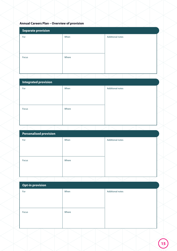## **Annual Careers Plan – Overview of provision**

| <b>Separate provision</b> |       |                         |  |
|---------------------------|-------|-------------------------|--|
| For                       | When  | <b>Additional notes</b> |  |
|                           |       |                         |  |
|                           |       |                         |  |
| Focus                     | Where |                         |  |
|                           |       |                         |  |
|                           |       |                         |  |
|                           |       |                         |  |

| <b>Integrated provision</b> |       |                         |  |
|-----------------------------|-------|-------------------------|--|
| For                         | When  | <b>Additional notes</b> |  |
|                             |       |                         |  |
|                             |       |                         |  |
| Focus                       | Where |                         |  |
|                             |       |                         |  |
|                             |       |                         |  |
|                             |       |                         |  |

| <b>Personalised provision</b> |       |                         |  |
|-------------------------------|-------|-------------------------|--|
| For                           | When  | <b>Additional notes</b> |  |
|                               |       |                         |  |
|                               |       |                         |  |
| Focus                         | Where |                         |  |
|                               |       |                         |  |
|                               |       |                         |  |
|                               |       |                         |  |

| <b>Opt-in provision</b> |       |                         |  |
|-------------------------|-------|-------------------------|--|
| For                     | When  | <b>Additional notes</b> |  |
|                         |       |                         |  |
|                         |       |                         |  |
| Focus                   | Where |                         |  |
|                         |       |                         |  |
|                         |       |                         |  |
|                         |       |                         |  |

**15**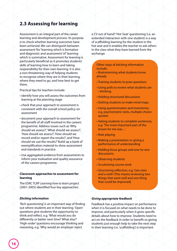## **2.3 Assessing for learning**

Assessment is an integral part of the career learning and development process. Its purpose is to check whether learning outcomes have been achieved. We can distinguish between assessment 'for' learning which is formative and diagnostic and assessment 'of' learning which is summative. Assessment for learning is particularly beneficial as it promotes students' skills of learning how to learn and taking responsibility for their own learning. It is also a non-threatening way of helping students to recognise where they are in their learning, where they need to go, and how best to get there.

Practical tips for teachers include:

- identify how you will assess the outcomes from learning at the planning stage
- check that your approach to assessment is consistent with the overall school policy on assessment
- document your approach to assessment for the benefit of all staff involved in the careers programme. Address issues such as 'Why should we assess?', 'What should we assess?', 'How should we assess?', 'How should we record and/or report the results?', and 'How should we use the results?' Build up a bank of exemplification material to show assessment and standards in practice
- Use aggregated evidence from assessments to inform your evaluation and quality assurance of the careers programme.

#### **Classroom approaches to assessment for learning**

The ESRC TLRP *Learning how to learn* project (2001-2005) identified four key approaches:

#### *Eliciting information*

'Rich questioning' is an important way of finding out where students are in their learning. 'Open' questions give students the opportunity to think and reflect, e.g. 'What would you do differently or better next time? What else?' 'High-order' questions encourage thinking and reasoning, e.g. 'Why would an employer reject

a CV out of hand? 'Hot Seat' questioning (i.e. an extended interaction with one student) is a way of scaffolding learning for the student in the hot seat and it enables the teacher to ask others in the class what they have learned from the exchange.

#### Other ways of eliciting information include:

- Brainstorming what students know already
- Training students to pose questions
- Using polls to review what students are • thinking
- Holding structured discussions
- Getting students to make mind maps
- Using questionnaires and inventories, e.g. psychometric tests, multiple choice quizzes
- Asking students to complete sentences, e.g. 'The most important part of the lesson for me was…'
- Role playing
- Making a presentation or giving a performance of understanding
- Holding focus groups and one-to-one discussions
- Observing students
- Scrutinising course work
- Structuring reflection, e.g. 'two stars and a wish' (This means reviewing two things that went well and one thing that could be improved)

#### *Giving appropriate feedback*

Feedback has a positive impact on performance when it is focused on what needs to be done to improve, and particularly when it gives specific details about how to improve. Students need to act on the feedback in order to benefit so giving students just enough help to take the next step in their learning (i.e. 'scaffolding') is important.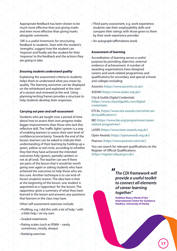Appropriate feedback has been shown to be much more effective than just giving marks and even more effective than giving marks alongside comments.

'SIR' is a useful mnemonic for structuring feedback to students. Start with the student's 'strengths', suggest how the student can 'improve' and finally ask the student for their 'response' to the feedback and the actions they are going to take.

#### *Ensuring students understand quality*

Explaining the assessment criteria to students helps them to understand what you mean by quality. The learning outcomes can be displayed on the whiteboard and explained at the start of a session and reviewed at the end. Using planning/writing frames provides a structure to help students develop their responses.

#### *Carrying out peer and self-assessment*

Students who are taught over a period of time about how to assess their own progress make bigger improvements than those who lack this reflective skill. The 'traffic lights' system is a way of enabling learners to assess their own level of confidence/uncertainty. Towards the end of the lesson, learners can be asked to indicate their understanding of their learning by holding up a green, yellow or red circle, according to whether they feel they have achieved the intended outcomes fully (green), partially (amber) or not at all (red). The teacher can see if there are parts of the lesson that it would be worth going over again or asking students who have achieved the outcomes to help those who are less sure. Another technique is to use 'end-oflesson students' review'. The idea here is that at the beginning of the lesson, one student is appointed as a 'rapporteur' for the lesson. The rapporteur gives a summary of what they have learned in the lesson and answers any questions that learners in the class may have.

Other self-assessment exercises include:

- Profiling, e.g. I did this with a lot of help / with a little help / on my own
- Graded statements
- Rating scales (such as RSMA rarely, sometimes, mostly, always)
- Ranking exercises
- Third-party assessment, e.g. work experience students rate their employability skills and compare their ratings with those given to them by their work experience provider
- An autograph/affirmations book.

#### **Assessment of learning**

Accreditation of learning serves a useful purpose by providing objective, external evidence of achievement. A number of awarding organisations have designed careers and work-related programmes and qualifications for secondary and special schools and colleges including:

Ascentis (https://www.ascentis.co.uk/)

ASDAN (https://www.asdan.org.uk/)

City & Guilds Digital Credentials (https://www.cityandguilds.com/digitalcredentials)

ETCAL (https://www.eta-awards.com/what-wedo/qualifications/)

IBO (https://www.ibo.org/programmes/careerrelated-programme/)

LASER (https://www.laser-awards.org.uk/)

Open Awards (https://openawards.org.uk/)

Pearson (https://www.pearson.com/uk/)

You can search for relevant qualifications on the Register of Official Qualifications (https://register.ofqual.gov.uk/).

> *The CDI framework will provide a useful toolkit to connect all elements of career learning together."* **"**

**Siobhan Neary (Head of the International Centre for Guidance Studies), University of Derby**

**17**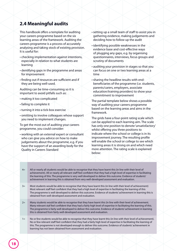## **2.4 Meaningful audits**

This handbook offers a template for auditing your careers programme based on the six learning areas of the framework. Auditing the careers programme is a process of accurately analysing and taking stock of existing provision. It is useful for:

- checking implementation against intentions, especially in relation to what students are learning
- dentifying gaps in the programme and areas for improvement
- finding out if resources are sufficient and if they are being well-used.

Auditing can be time-consuming so it is important to avoid pitfalls such as:

- making it too complicated
- failing to complete it
- turning it into a tick-box exercise
- omitting to involve colleagues whose support you need to implement changes.

To get the most out of auditing your careers programme, you could consider:

• working with an external expert or consultant who can give you advice on how to make judgements about the programme, e.g. if you have the support of an awarding body for the Quality in Careers Standard

- setting up a small team of staff to assist you in gathering evidence, making judgements and deciding how to follow up the audit
- identifying possible weaknesses in the evidence base and cost-effective ways of plugging any gaps, e.g. by organising questionnaires, interviews, focus groups and scrutiny of documents
- auditing your provision in stages so that you can focus on one or two learning areas at a time
- sharing the headline results with endbeneficiaries of the programme (i.e. students, parents/carers, employers, associate education/training providers) to show your commitment to improvement

The partial template below shows a possible way of auditing your careers programme based on the learning areas and aims in the framework.

The grids have a four-point rating scale which can be applied to each learning aim. The scale has only one position to denote 'unsatisfactory' whilst offering you three positions to indicate where the school or college is in its improvement journey. The resulting profile will enable the school or college to see which learning areas it is strong on and which need more attention. The rating scale is explained below:

- All or nearly all students would be able to recognise that they have learnt this (in line with their level of achievement). All or nearly all relevant staff feel confident that they had a high level of expertise in facilitating the learning of this. The programme is very well developed to deliver this outcome. Evidence of students' achievement in learning this is obtained from very well-developed assessment and evaluation.  $4=$
- Most students would be able to recognise that they have learnt this (in line with their level of achievement) Most relevant staff feel confident that they had a high level of expertise in facilitating the learning of this The programme is well developed to deliver this outcome. Evidence of students' achievement in learning this is obtained from well-developed assessment and evaluation.  $\mathbf{z}$
- Many students would be able to recognise that they have learnt this (in line with their level of achievement. Many relevant staf feel confident that they had a fairly high level of expertise in facilitating the learning of this. The programme is fairly well developed to deliver this outcome. Evidence of students' achievement in learning this is obtained from fairly well-developed assessment and evaluation.  $2=$
- No or few students would be able to recognise that they have learnt this (in line with their level of achievement). No or few relevant staff feel confident that they had a fairly high level of expertise in facilitating the learning of this. The programme is not developed enough to deliver this outcome. Evidence of students' achievement in learning has not been obtained from assessment and evaluation.  $1=$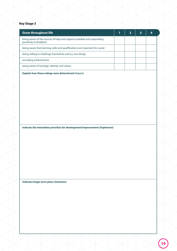### **Key Stage 3**

| <b>Grow throughout life</b>                                                                       |  |  |
|---------------------------------------------------------------------------------------------------|--|--|
| being aware of the sources of help and support available and responding<br>positively to feedback |  |  |
| being aware that learning, skills and qualifications are important for career                     |  |  |
| being willing to challenge themselves and try new things                                          |  |  |
| recording achievements                                                                            |  |  |
| being aware of heritage, identity and values                                                      |  |  |

**Explain how these ratings were determined** *(Impact)*

**Indicate the immediate priorities for development/improvement** *(Implement)*

**Indicate longer term plans** *(Intention)*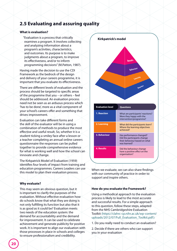## **2.5 Evaluating and assuring quality**

#### **What is evaluation?**

"Evaluation is a process that critically examines a program. It involves collecting and analyzing information about a program's activities, characteristics, and outcomes. Its purpose is to make judgments about a program, to improve its effectiveness, and/or to inform programming decisions" (M.Patton, 1987).

Having made the decision to use the CDI Framework as the bedrock of the design and delivery of your careers programme, it is important that you evaluate its effectiveness.

There are different levels of evaluation and the process should be targeted to specific areas of the programme that you – or others – feel should be addressed. An evaluation process need not be seen as an arduous process which 'has to be done', more as a vital component of your school's careers offer and something that drives improvement.

Evaluation can take different forms and the skill of the evaluator will be in using a combination of methods to produce the most effective and useful result. So, whether it is a student ticking a smiley face after a lesson or a teacher completing an annual online careers questionnaire the responses can be pulled together to provide comprehensive evidence for what is working well and how the school can innovate and change.

The Kirkpatrick Model of Evaluation (1959) identifies four levels of impact from training and education programmes. Careers Leaders can use this model to plan their evaluation process.

#### **Why evaluate?**

This may seem an obvious question, but it is important to clarify the purposes of the evaluation. Without effective evaluation how do schools know that what they are doing is not only fulfilling its function but also that it is as good as it could be? Evaluation meets two needs of the education system: the demand for accountability and the demand for improvement. It can be used to celebrate achievement and generate publicity for positive work. It is important to align our evaluation with those processes in place in schools and colleges to ensure professionalism and credibility.

#### **Kirkpatrick's model**



| <b>Evaluation level</b> | <b>Questions</b>                                                                                         |
|-------------------------|----------------------------------------------------------------------------------------------------------|
| <b>1. Reaction</b>      | What are participants' reactions?<br>Were they happy with the<br>intervention/programme?                 |
| 2. Learning             | What did the participants learn?<br>Where the learning objectives<br>achieved?                           |
| 3. Behaviour            | Has performance changed?<br>Did the participants change<br>their behaviour based on what<br>was learned? |
| <b>4. Results</b>       | Did the behaviour change<br>have a positive effect on the<br>organisation?                               |

When we evaluate, we can also share findings with our community of practice in order to support and inspire others.

#### **How do you evaluate the Framework?**

Using a methodical approach to the evaluation process is likely to lead to the most accurate and successful results. For a simple approach to this question, follow these steps, adapted from the NHS Cambridgeshire Evaluation Toolkit (https://clahrc-cp.nihr.ac.uk/wp-content/ uploads/2012/07/Full\_Evaluation\_Toolkit.pdf):

1. Do you really need to conduct an evaluation?

2. Decide if there are others who can support you in your evaluation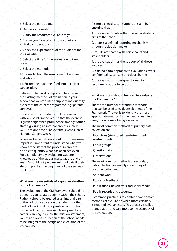- 3. Select the participants
- 4. Define your questions
- 5. Clarify the resources available to you

6. Ensure you have taken into account any ethical considerations

7. Check the expectations of the audience for the evaluation

8. Select the time for the evaluation to take place

9. Select the methods

10. Consider how the results are to be shared and who with

11. Ensure the outcomes feed into next year's careers plan.

Before you begin, it is important to explore the existing methods of evaluation in your school that you can use to support and quantify aspects of the careers programme (e.g. parental surveys).

It is also worth considering linking evaluation with key points in the year so that the exercise is given heightened prominence amongst other staff, e.g. during an internal process such as GCSE options time or an external event such as National Careers Week.

When we begin to think about how to measure impact it is important to understand what we know at the start of the process in order to be able to quantify what has been achieved. For example, simply evaluating students' knowledge of the labour market at the end of Year 10 would not yield meaningful data if their starting point at the beginning of the year was not known.

#### **What are the essentials of a good evaluation of the Framework?**

The evaluation of the CDI Framework should not be seen as an isolated activity within the school. Rather it should be treated as an integral part of the holistic preparation of students for the world of work, making a positive contribution to their education, personal development and career planning. As such, the mission statement, values and overall direction of the school needs to be integral to the design and execution of the evaluation.

A simple checklist can support this aim by ensuring that:

1. the evaluation sits within the wider strategic aims of the school

2. there is a defined reporting mechanism through to decision-maker

3. results are shared with participants and stakeholders

4. the evaluation has the support of all those involved

5. a 'do no harm' approach to evaluation covers confidentiality, consent and data-sharing

6. the evaluation is designed to lead to recommendations for action.

#### **What methods should be used to evaluate the Framework?**

There are a number of standard methods that can be used to evaluate elements of the Framework. The key is to identify the most appropriate method for the specific learning area, or outcomes, being evaluated.

The most common methods of primary data collection are

- Interviews (structured, semi-structured, unstructured)
- Focus groups
- Questionnaires
- Observations

The most common methods of secondary data collection are mainly via scrutiny of documentation, e.g.:

- Student work
- Educator feedback
- Publications, newsletters and social media
- Public records and accounts.

A common practice is to combine two or more methods of evaluation when more certainty is required over an issue. This process is called triangulation and can improve the accuracy of the evaluation.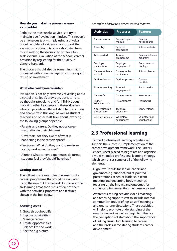#### **How do you make the process as easy as possible?**

Perhaps the most useful advice is to try to maintain a self-evaluation mindset! This needn't be an onerous task – simply using a physical or online folder of evidence can support the evaluation process. It is only a short step from this to making the decision to opt for a fullscale external evaluation of the school's careers provision by registering for the Quality in Careers Standard.

The process should also be something that is discussed with a line manager to ensure a good return on investment.

#### **What else could you consider?**

Evaluation is not only extremely revealing about a school or college's provision, but it can also be thought-provoking and fun! Think about involving other key people in the evaluation who can provide a different slant to the process and enable fresh thinking. As well as students, teachers and other staff, how about involving the following groups of people:

- Parents and carers: Do they notice career maturation in their children?
- Governors: Are they aware of what is happening in the careers space?
- Employers: What do they want to see from young workers in the area?
- Alumni: What careers experiences do former students feel they 'should' have had?

#### **Getting started**

The following are examples of elements of a careers programme that could be evaluated using the new CDI Framework. First look at the six learning areas then cross-reference them with the activities, processes and features shown in the box below:

#### *Learning areas*

- 1. Grow throughout life
- 2. Explore possibilities
- 3. Manage career
- 4. Create opportunities
- 5. Balance life and work
- 6. See the big picture

*Examples of activities, processes and features* 

| <b>Activities</b>                | <b>Processes</b>              | <b>Features</b>                |
|----------------------------------|-------------------------------|--------------------------------|
| Careers lesson                   | Careers topic or<br>module    | Careers<br>noticeboards        |
| Assembly                         | Series of<br>assemblies       | School website                 |
| Tutor period                     | <b>Tutorial</b><br>programme  | Careers software<br>programs   |
| Employer<br>presentation         | Employer<br>engagement        | Departmental<br>displays       |
| Careers within a<br>subject      | Careers in the<br>curriculum  | School planner                 |
| Options lesson                   | <b>Options process</b>        | Options<br>booklets            |
| Parents evening                  | Parental<br>engagement        | Social media                   |
| Careers fair                     | Careers events                | <b>Newsletters</b>             |
| Higher<br><b>Education visit</b> | <b>HE</b> awareness           | Prospectus                     |
| Apprenticeship<br>presentation   | <b>Technical</b><br>education | <b>Banner stands</b>           |
| Work experience                  | Workplace<br>experiences      | Volunteering/<br>social action |

## **2.6 Professional learning**

Planned professional learning activities will support the successful implementation of the career development framework. The Careers Leader is best placed to negotiate and organise a multi-stranded professional learning strategy which comprises some or all of the following elements:

- High-level inputs for senior leaders and governors, e.g. succinct, bullet-pointed presentations at senior leadership team meeting and governing body meetings focusing on the impact and outcomes for students of implementing the framework well
- Awareness-raising activities for all teaching and teaching support staff to include internal communications, briefings at staff meetings and one-to-one discussions. These activities will help to promote understanding of the new framework as well as begin to influence the perceptions of staff about the importance of linking curriculum learning to careers and their roles in facilitating students' career development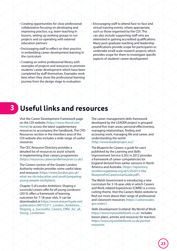- Creating opportunities for close professional collaboration focusing on developing and improving practice, e.g. team-teaching in lessons, setting up working groups to run projects and co-operating with external education partners
- Encouraging staff to reflect on their practice in embedding career development learning in the curriculum
- Creating an online professional library with examples of projects and resources to promote students' career development which have been completed by staff themselves. Examples work best when they show the professional learning journey from the design stage to evaluation

• Encouraging staff to attend face-to-face and virtual training events, where appropriate, such as those organised by the CDI. This can also include supporting staff who are interested in gaining accredited qualifications. Many post-graduate teaching and leadership qualifications provide scope for participants to undertake small-scale research projects which provides scope for them to investigate specific aspects of students' career development

## **3 Useful links and resources**

Visit the Career Development Framework page on the CDI website (https://www.thecdi.net/ Home) to access the latest supplementary resources to accompany the handbook. The CPD Resources section in the members area of the CDI website also includes a wide range of useful resources.

The CEC Resource Directory provides a detailed list of resources to assist schools in implementing their careers programmes (https://resources.careersandenterprise.co.uk/)

The Careers section of the Greater London Authority website provides some useful ideas and resources (https://www.london.gov.uk/ what-we-do/education-and-youth/preparingyoung-people-workplace).

Chapter 5 of *London Ambitions: Shaping a successful careers offer for all young Londoners*  (2015) offers a framework of learning outcomes for 7-18-year-olds. It can be downloaded at https://www.researchgate.net/ publication/280153211\_London\_Ambitions Shaping a Successful Careers Offer for all Young\_Londoners

The career management skills framework developed by the LEADER project is grouped around five main areas: personal effectiveness, managing relationships, finding and accessing work, managing life and career, and understanding the world (http://www.leaderproject.eu/)

*The Blueprint for Careers: a guide for users* published by the Learning and Skills Improvement Service (LSIS) in 2012 provides a framework of career competencies for England derived from earlier versions in North America and Australia. (https://repository. excellencegateway.org.uk/LSIS2013-04a-BlueprintForCareersUserGuide.pdf).

The Welsh Government is introducing a new curriculum for 3-16-year-olds in which Careers and Work-related Experiences (CWRE) is a crosscutting theme. Visit the Careers Wales website to find out more about their range of professional and classroom resources (https://careerswales. gov.wales/)

Skills Development Scotland: My World of Work https://www.myworldofwork.co.uk/ includes lesson plans, articles and resources for teachers https://www.myworldofwork.co.uk/partnerresources